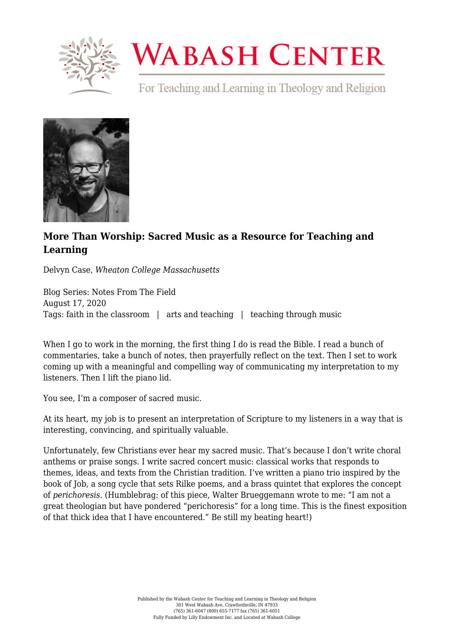

## **WABASH CENTER**

For Teaching and Learning in Theology and Religion



## **[More Than Worship: Sacred Music as a Resource for Teaching and](https://www.wabashcenter.wabash.edu/2020/08/more-than-worship-sacred-music-as-a-resource-for-teaching-and-learning/) [Learning](https://www.wabashcenter.wabash.edu/2020/08/more-than-worship-sacred-music-as-a-resource-for-teaching-and-learning/)**

Delvyn Case, *Wheaton College Massachusetts*

Blog Series: Notes From The Field August 17, 2020 Tags: faith in the classroom | arts and teaching | teaching through music

When I go to work in the morning, the first thing I do is read the Bible. I read a bunch of commentaries, take a bunch of notes, then prayerfully reflect on the text. Then I set to work coming up with a meaningful and compelling way of communicating my interpretation to my listeners. Then I lift the piano lid.

You see, I'm a [composer](https://www.delvyncase.com/mymusic) of sacred music.

At its heart, my job is to present an interpretation of Scripture to my listeners in a way that is interesting, convincing, and spiritually valuable.

Unfortunately, few Christians ever hear my sacred music. That's because I don't write choral anthems or praise songs. I write sacred concert music: classical works that responds to themes, ideas, and texts from the Christian tradition. I've written a piano trio inspired by the book of Job, a song cycle that sets Rilke poems, and a brass quintet that explores the concept of *perichoresis*. (Humblebrag: of this piece, Walter Brueggemann wrote to me: "I am not a great theologian but have pondered "perichoresis" for a long time. This is the finest exposition of that thick idea that I have encountered." Be still my beating heart!)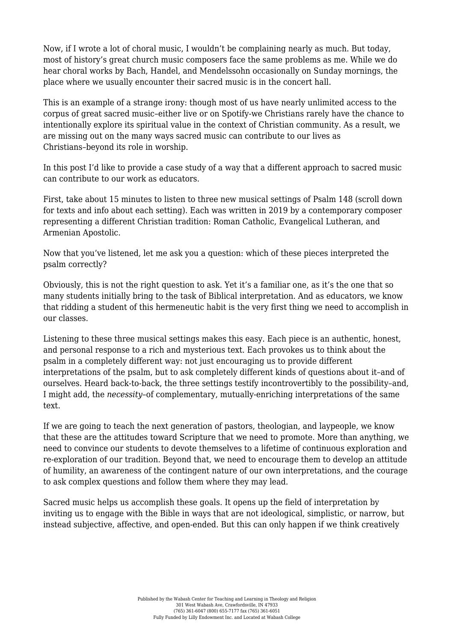Now, if I wrote a lot of choral music, I wouldn't be complaining nearly as much. But today, most of history's great church music composers face the same problems as me. While we do hear choral works by Bach, Handel, and Mendelssohn occasionally on Sunday mornings, the place where we usually encounter their sacred music is in the concert hall.

This is an example of a strange irony: though most of us have nearly unlimited access to the corpus of great sacred music–either live or on Spotify-we Christians rarely have the chance to intentionally explore its spiritual value in the context of Christian community. As a result, we are missing out on the many ways sacred music can contribute to our lives as Christians–beyond its role in worship.

In this post I'd like to provide a case study of a way that a different approach to sacred music can contribute to our work as educators.

First, take about 15 minutes to listen to [three new musical settings of Psalm 148](https://www.deus-ex-musica.com/in-the-shadow-of-your-wings-1) (scroll down for texts and info about each setting). Each was written in 2019 by a contemporary composer representing a different Christian tradition: Roman Catholic, Evangelical Lutheran, and Armenian Apostolic.

Now that you've listened, let me ask you a question: which of these pieces interpreted the psalm correctly?

Obviously, this is not the right question to ask. Yet it's a familiar one, as it's the one that so many students initially bring to the task of Biblical interpretation. And as educators, we know that ridding a student of this hermeneutic habit is the very first thing we need to accomplish in our classes.

Listening to these three musical settings makes this easy. Each piece is an authentic, honest, and personal response to a rich and mysterious text. Each provokes us to think about the psalm in a completely different way: not just encouraging us to provide different interpretations of the psalm, but to ask completely different kinds of questions about it–and of ourselves. Heard back-to-back, the three settings testify incontrovertibly to the possibility–and, I might add, the *necessity*–of complementary, mutually-enriching interpretations of the same text.

If we are going to teach the next generation of pastors, theologian, and laypeople, we know that these are the attitudes toward Scripture that we need to promote. More than anything, we need to convince our students to devote themselves to a lifetime of continuous exploration and re-exploration of our tradition. Beyond that, we need to encourage them to develop an attitude of humility, an awareness of the contingent nature of our own interpretations, and the courage to ask complex questions and follow them where they may lead.

Sacred music helps us accomplish these goals. It opens up the field of interpretation by inviting us to engage with the Bible in ways that are not ideological, simplistic, or narrow, but instead subjective, affective, and open-ended. But this can only happen if we think creatively